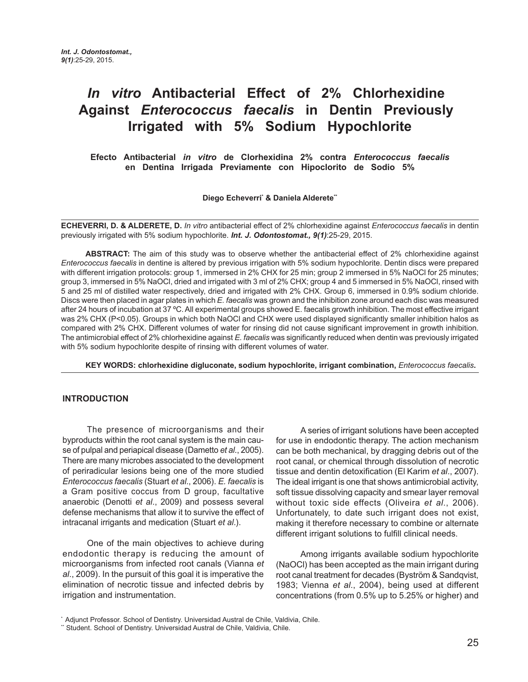# *In vitro* **Antibacterial Effect of 2% Chlorhexidine Against** *Enterococcus faecalis* **in Dentin Previously Irrigated with 5% Sodium Hypochlorite**

**Efecto Antibacterial** *in vitro* **de Clorhexidina 2% contra** *Enterococcus faecalis* **en Dentina Irrigada Previamente con Hipoclorito de Sodio 5%**

**Diego Echeverri\* & Daniela Alderete\*\***

**ECHEVERRI, D. & ALDERETE, D.** *In vitro* antibacterial effect of 2% chlorhexidine against *Enterococcus faecalis* in dentin previously irrigated with 5% sodium hypochlorite. *Int. J. Odontostomat., 9(1)*:25-29, 2015.

**ABSTRACT:** The aim of this study was to observe whether the antibacterial effect of 2% chlorhexidine against *Enterococcus faecalis* in dentine is altered by previous irrigation with 5% sodium hypochlorite. Dentin discs were prepared with different irrigation protocols: group 1, immersed in 2% CHX for 25 min; group 2 immersed in 5% NaOCl for 25 minutes; group 3, immersed in 5% NaOCl, dried and irrigated with 3 ml of 2% CHX; group 4 and 5 immersed in 5% NaOCl, rinsed with 5 and 25 ml of distilled water respectively, dried and irrigated with 2% CHX. Group 6, immersed in 0.9% sodium chloride. Discs were then placed in agar plates in which *E. faecalis* was grown and the inhibition zone around each disc was measured after 24 hours of incubation at 37 ºC. All experimental groups showed E. faecalis growth inhibition. The most effective irrigant was 2% CHX (P<0.05). Groups in which both NaOCI and CHX were used displayed significantly smaller inhibition halos as compared with 2% CHX. Different volumes of water for rinsing did not cause significant improvement in growth inhibition. The antimicrobial effect of 2% chlorhexidine against *E. faecalis* was significantly reduced when dentin was previously irrigated with 5% sodium hypochlorite despite of rinsing with different volumes of water.

**KEY WORDS: chlorhexidine digluconate, sodium hypochlorite, irrigant combination,** *Enterococcus faecalis***.**

#### **INTRODUCTION**

The presence of microorganisms and their byproducts within the root canal system is the main cause of pulpal and periapical disease (Dametto *et al*., 2005). There are many microbes associated to the development of periradicular lesions being one of the more studied *Enterococcus faecalis* (Stuart *et al*., 2006). *E. faecalis* is a Gram positive coccus from D group, facultative anaerobic (Denotti *et al*., 2009) and possess several defense mechanisms that allow it to survive the effect of intracanal irrigants and medication (Stuart *et al*.).

One of the main objectives to achieve during endodontic therapy is reducing the amount of microorganisms from infected root canals (Vianna *et al*., 2009). In the pursuit of this goal it is imperative the elimination of necrotic tissue and infected debris by irrigation and instrumentation.

A series of irrigant solutions have been accepted for use in endodontic therapy. The action mechanism can be both mechanical, by dragging debris out of the root canal, or chemical through dissolution of necrotic tissue and dentin detoxification (El Karim *et al*., 2007). The ideal irrigant is one that shows antimicrobial activity, soft tissue dissolving capacity and smear layer removal without toxic side effects (Oliveira *et al*., 2006). Unfortunately, to date such irrigant does not exist, making it therefore necessary to combine or alternate different irrigant solutions to fulfill clinical needs.

Among irrigants available sodium hypochlorite (NaOCl) has been accepted as the main irrigant during root canal treatment for decades (Byström & Sandqvist, 1983; Vienna *et al*., 2004), being used at different concentrations (from 0.5% up to 5.25% or higher) and

<sup>\*</sup> Adjunct Professor. School of Dentistry. Universidad Austral de Chile, Valdivia, Chile.

<sup>\*\*</sup> Student. School of Dentistry. Universidad Austral de Chile, Valdivia, Chile.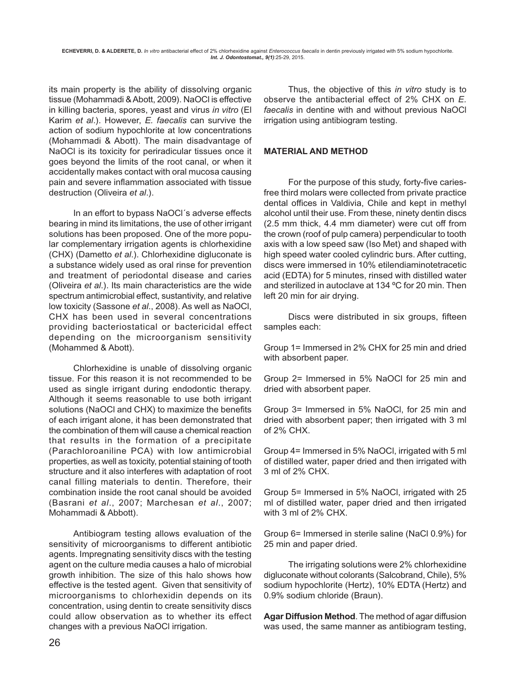its main property is the ability of dissolving organic tissue (Mohammadi & Abott, 2009). NaOCl is effective in killing bacteria, spores, yeast and virus *in vitro* (El Karim *et al*.). However, *E. faecalis* can survive the action of sodium hypochlorite at low concentrations (Mohammadi & Abott). The main disadvantage of NaOCl is its toxicity for periradicular tissues once it goes beyond the limits of the root canal, or when it accidentally makes contact with oral mucosa causing pain and severe inflammation associated with tissue destruction (Oliveira *et al*.).

In an effort to bypass NaOCl´s adverse effects bearing in mind its limitations, the use of other irrigant solutions has been proposed. One of the more popular complementary irrigation agents is chlorhexidine (CHX) (Dametto *et al*.). Chlorhexidine digluconate is a substance widely used as oral rinse for prevention and treatment of periodontal disease and caries (Oliveira *et al*.). Its main characteristics are the wide spectrum antimicrobial effect, sustantivity, and relative low toxicity (Sassone *et al*., 2008). As well as NaOCl, CHX has been used in several concentrations providing bacteriostatical or bactericidal effect depending on the microorganism sensitivity (Mohammed & Abott).

Chlorhexidine is unable of dissolving organic tissue. For this reason it is not recommended to be used as single irrigant during endodontic therapy. Although it seems reasonable to use both irrigant solutions (NaOCl and CHX) to maximize the benefits of each irrigant alone, it has been demonstrated that the combination of them will cause a chemical reaction that results in the formation of a precipitate (Parachloroaniline PCA) with low antimicrobial properties, as well as toxicity, potential staining of tooth structure and it also interferes with adaptation of root canal filling materials to dentin. Therefore, their combination inside the root canal should be avoided (Basrani *et al*., 2007; Marchesan *et al*., 2007; Mohammadi & Abbott).

Antibiogram testing allows evaluation of the sensitivity of microorganisms to different antibiotic agents. Impregnating sensitivity discs with the testing agent on the culture media causes a halo of microbial growth inhibition. The size of this halo shows how effective is the tested agent. Given that sensitivity of microorganisms to chlorhexidin depends on its concentration, using dentin to create sensitivity discs could allow observation as to whether its effect changes with a previous NaOCl irrigation.

 Thus, the objective of this *in vitro* study is to observe the antibacterial effect of 2% CHX on *E. faecalis* in dentine with and without previous NaOCl irrigation using antibiogram testing.

## **MATERIAL AND METHOD**

For the purpose of this study, forty-five cariesfree third molars were collected from private practice dental offices in Valdivia, Chile and kept in methyl alcohol until their use. From these, ninety dentin discs (2.5 mm thick, 4.4 mm diameter) were cut off from the crown (roof of pulp camera) perpendicular to tooth axis with a low speed saw (Iso Met) and shaped with high speed water cooled cylindric burs. After cutting, discs were immersed in 10% etilendiaminotetracetic acid (EDTA) for 5 minutes, rinsed with distilled water and sterilized in autoclave at 134 ºC for 20 min. Then left 20 min for air drying.

Discs were distributed in six groups, fifteen samples each:

Group 1= Immersed in 2% CHX for 25 min and dried with absorbent paper.

Group 2= Immersed in 5% NaOCl for 25 min and dried with absorbent paper.

Group 3= Immersed in 5% NaOCl, for 25 min and dried with absorbent paper; then irrigated with 3 ml of 2% CHX.

Group 4= Immersed in 5% NaOCl, irrigated with 5 ml of distilled water, paper dried and then irrigated with 3 ml of 2% CHX.

Group 5= Immersed in 5% NaOCl, irrigated with 25 ml of distilled water, paper dried and then irrigated with 3 ml of 2% CHX.

Group 6= Immersed in sterile saline (NaCl 0.9%) for 25 min and paper dried.

The irrigating solutions were 2% chlorhexidine digluconate without colorants (Salcobrand, Chile), 5% sodium hypochlorite (Hertz), 10% EDTA (Hertz) and 0.9% sodium chloride (Braun).

**Agar Diffusion Method**. The method of agar diffusion was used, the same manner as antibiogram testing,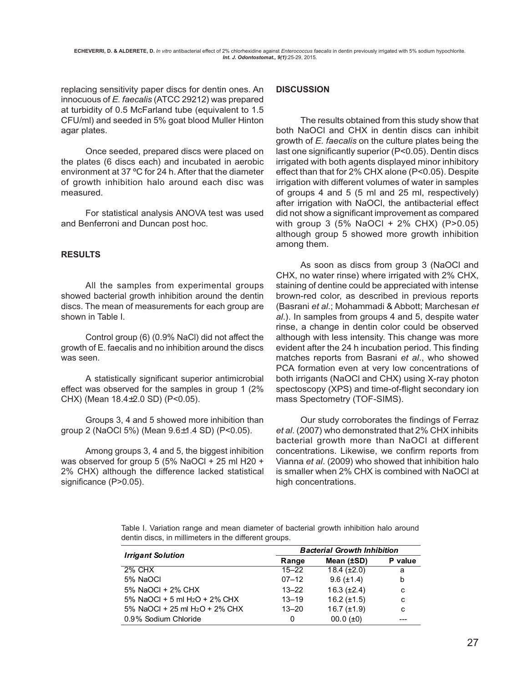replacing sensitivity paper discs for dentin ones. An innocuous of *E. faecalis* (ATCC 29212) was prepared at turbidity of 0.5 McFarland tube (equivalent to 1.5 CFU/ml) and seeded in 5% goat blood Muller Hinton agar plates.

Once seeded, prepared discs were placed on the plates (6 discs each) and incubated in aerobic environment at 37 ºC for 24 h. After that the diameter of growth inhibition halo around each disc was measured.

For statistical analysis ANOVA test was used and Benferroni and Duncan post hoc.

## **RESULTS**

All the samples from experimental groups showed bacterial growth inhibition around the dentin discs. The mean of measurements for each group are shown in Table I.

Control group (6) (0.9% NaCl) did not affect the growth of E. faecalis and no inhibition around the discs was seen.

A statistically significant superior antimicrobial effect was observed for the samples in group 1 (2% CHX) (Mean 18.4±2.0 SD) (P<0.05).

Groups 3, 4 and 5 showed more inhibition than group 2 (NaOCl 5%) (Mean 9.6±1.4 SD) (P<0.05).

Among groups 3, 4 and 5, the biggest inhibition was observed for group 5 (5% NaOCl + 25 ml H20 + 2% CHX) although the difference lacked statistical significance (P>0.05).

#### **DISCUSSION**

The results obtained from this study show that both NaOCl and CHX in dentin discs can inhibit growth of *E. faecalis* on the culture plates being the last one significantly superior (P<0.05). Dentin discs irrigated with both agents displayed minor inhibitory effect than that for 2% CHX alone (P<0.05). Despite irrigation with different volumes of water in samples of groups 4 and 5 (5 ml and 25 ml, respectively) after irrigation with NaOCl, the antibacterial effect did not show a significant improvement as compared with group 3 (5% NaOCl + 2% CHX) (P>0.05) although group 5 showed more growth inhibition among them.

As soon as discs from group 3 (NaOCl and CHX, no water rinse) where irrigated with 2% CHX, staining of dentine could be appreciated with intense brown-red color, as described in previous reports (Basrani *et al*.; Mohammadi & Abbott; Marchesan *et al*.). In samples from groups 4 and 5, despite water rinse, a change in dentin color could be observed although with less intensity. This change was more evident after the 24 h incubation period. This finding matches reports from Basrani *et al*., who showed PCA formation even at very low concentrations of both irrigants (NaOCl and CHX) using X-ray photon spectoscopy (XPS) and time-of-flight secondary ion mass Spectometry (TOF-SIMS).

Our study corroborates the findings of Ferraz *et al*. (2007) who demonstrated that 2% CHX inhibits bacterial growth more than NaOCl at different concentrations. Likewise, we confirm reports from Vianna *et al*. (2009) who showed that inhibition halo is smaller when 2% CHX is combined with NaOCl at high concentrations.

Table I. Variation range and mean diameter of bacterial growth inhibition halo around dentin discs, in millimeters in the different groups.

| <b>Irrigant Solution</b>                   | <b>Bacterial Growth Inhibition</b> |                  |         |
|--------------------------------------------|------------------------------------|------------------|---------|
|                                            | Range                              | Mean (±SD)       | P value |
| 2% CHX                                     | $15 - 22$                          | $18.4 (\pm 2.0)$ | a       |
| 5% NaOCI                                   | $07 - 12$                          | $9.6 (\pm 1.4)$  | b       |
| 5% NaOCI + 2% CHX                          | $13 - 22$                          | $16.3 (\pm 2.4)$ | c       |
| 5% NaOCl + 5 ml H <sub>2</sub> O + 2% CHX  | $13 - 19$                          | $16.2 (\pm 1.5)$ | c       |
| 5% NaOCl + 25 ml H <sub>2</sub> O + 2% CHX | $13 - 20$                          | $16.7 (\pm 1.9)$ | c       |
| 0.9% Sodium Chloride                       | 0                                  | $00.0 (\pm 0)$   |         |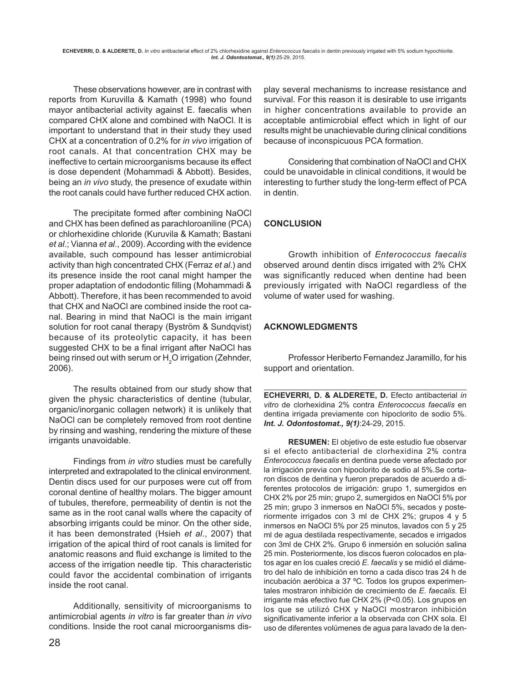**ECHEVERRI, D. & ALDERETE, D.** *In vitro* antibacterial effect of 2% chlorhexidine against *Enterococcus faecalis* in dentin previously irrigated with 5% sodium hypochlorite. *Int. J. Odontostomat., 9(1)*:25-29, 2015.

 These observations however, are in contrast with reports from Kuruvilla & Kamath (1998) who found mayor antibacterial activity against E. faecalis when compared CHX alone and combined with NaOCl. It is important to understand that in their study they used CHX at a concentration of 0.2% for *in vivo* irrigation of root canals. At that concentration CHX may be ineffective to certain microorganisms because its effect is dose dependent (Mohammadi & Abbott). Besides, being an *in vivo* study, the presence of exudate within the root canals could have further reduced CHX action.

The precipitate formed after combining NaOCl and CHX has been defined as parachloroaniline (PCA) or chlorhexidine chloride (Kuruvila & Kamath; Bastani *et al*.; Vianna *et al*., 2009). According with the evidence available, such compound has lesser antimicrobial activity than high concentrated CHX (Ferraz *et al*.) and its presence inside the root canal might hamper the proper adaptation of endodontic filling (Mohammadi & Abbott). Therefore, it has been recommended to avoid that CHX and NaOCl are combined inside the root canal. Bearing in mind that NaOCl is the main irrigant solution for root canal therapy (Byström & Sundqvist) because of its proteolytic capacity, it has been suggested CHX to be a final irrigant after NaOCl has being rinsed out with serum or  $\mathsf{H}_2\mathsf{O}$  irrigation (Zehnder, 2006).

The results obtained from our study show that given the physic characteristics of dentine (tubular, organic/inorganic collagen network) it is unlikely that NaOCl can be completely removed from root dentine by rinsing and washing, rendering the mixture of these irrigants unavoidable.

Findings from *in vitro* studies must be carefully interpreted and extrapolated to the clinical environment. Dentin discs used for our purposes were cut off from coronal dentine of healthy molars. The bigger amount of tubules, therefore, permeability of dentin is not the same as in the root canal walls where the capacity of absorbing irrigants could be minor. On the other side, it has been demonstrated (Hsieh *et al*., 2007) that irrigation of the apical third of root canals is limited for anatomic reasons and fluid exchange is limited to the access of the irrigation needle tip. This characteristic could favor the accidental combination of irrigants inside the root canal.

Additionally, sensitivity of microorganisms to antimicrobial agents *in vitro* is far greater than *in vivo* conditions. Inside the root canal microorganisms dis-

play several mechanisms to increase resistance and survival. For this reason it is desirable to use irrigants in higher concentrations available to provide an acceptable antimicrobial effect which in light of our results might be unachievable during clinical conditions because of inconspicuous PCA formation.

Considering that combination of NaOCl and CHX could be unavoidable in clinical conditions, it would be interesting to further study the long-term effect of PCA in dentin.

# **CONCLUSION**

Growth inhibition of *Enterococcus faecalis* observed around dentin discs irrigated with 2% CHX was significantly reduced when dentine had been previously irrigated with NaOCl regardless of the volume of water used for washing.

#### **ACKNOWLEDGMENTS**

Professor Heriberto Fernandez Jaramillo, for his support and orientation.

**ECHEVERRI, D. & ALDERETE, D.** Efecto antibacterial *in vitro* de clorhexidina 2% contra *Enterococcus faecalis* en dentina irrigada previamente con hipoclorito de sodio 5%. *Int. J. Odontostomat., 9(1)*:24-29, 2015.

**RESUMEN:** El objetivo de este estudio fue observar si el efecto antibacterial de clorhexidina 2% contra *Enterococcus faecalis* en dentina puede verse afectado por la irrigación previa con hipoclorito de sodio al 5%.Se cortaron discos de dentina y fueron preparados de acuerdo a diferentes protocolos de irrigación: grupo 1, sumergidos en CHX 2% por 25 min; grupo 2, sumergidos en NaOCl 5% por 25 min; grupo 3 inmersos en NaOCl 5%, secados y posteriormente irrigados con 3 ml de CHX 2%; grupos 4 y 5 inmersos en NaOCl 5% por 25 minutos, lavados con 5 y 25 ml de agua destilada respectivamente, secados e irrigados con 3ml de CHX 2%. Grupo 6 inmersión en solución salina 25 min. Posteriormente, los discos fueron colocados en platos agar en los cuales creció *E. faecalis* y se midió el diámetro del halo de inhibición en torno a cada disco tras 24 h de incubación aeróbica a 37 ºC. Todos los grupos experimentales mostraron inhibición de crecimiento de *E. faecalis.* El irrigante más efectivo fue CHX 2% (P<0.05). Los grupos en los que se utilizó CHX y NaOCl mostraron inhibición significativamente inferior a la observada con CHX sola. El uso de diferentes volúmenes de agua para lavado de la den-